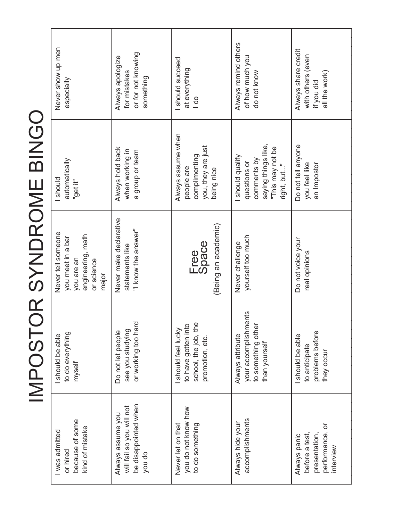| $\mathcal{L}^{\text{max}}_{\text{max}}$                                                                        |
|----------------------------------------------------------------------------------------------------------------|
|                                                                                                                |
|                                                                                                                |
|                                                                                                                |
|                                                                                                                |
|                                                                                                                |
|                                                                                                                |
|                                                                                                                |
|                                                                                                                |
|                                                                                                                |
| and the state of the state of the state of the state of the state of the state of the state of the state of th |
| í                                                                                                              |
| J                                                                                                              |
|                                                                                                                |
|                                                                                                                |
|                                                                                                                |
|                                                                                                                |

| Never show up men<br>especially                                                                   | or for not knowing<br>Always apologize<br>for mistakes<br>something              | should succeed<br>at everything<br>$\frac{1}{\alpha}$                                 | Always remind others<br>of how much you<br>do not know                                                    | Always share credit<br>with others (even<br>all the work)<br>if you did         |
|---------------------------------------------------------------------------------------------------|----------------------------------------------------------------------------------|---------------------------------------------------------------------------------------|-----------------------------------------------------------------------------------------------------------|---------------------------------------------------------------------------------|
| automatically<br>should<br>"get it"                                                               | Always hold back<br>when working in<br>a group or team                           | Always assume when<br>you, they are just<br>complimenting<br>people are<br>being nice | saying things like,<br>"This may not be<br>I should qualify<br>comments by<br>questions or<br>right, but" | Do not tell anyone<br>an Impostor<br>you feel like                              |
| Never tell someone<br>engineering, math<br>you meet in a bar<br>you are an<br>or science<br>major | Never make declarative<br>"I know the answer"<br>statements like                 | (Being an academic)<br>Free<br>Space                                                  | yourself too much<br>Never challenge                                                                      | Do not voice your<br>real opinions                                              |
| to do everything<br>should be able<br>myself                                                      | or working too hard<br>see you studying<br>Do not let people                     | school, the job, the<br>to have gotten into<br>should feel lucky<br>promotion, etc.   | your accomplishments<br>to something other<br>Always attribute<br>than yourself                           | problems before<br>should be able<br>to anticipate<br>they occur                |
| because of some<br>kind of mistake<br>I was admitted<br>or hired                                  | be disappointed when<br>will fail so you will not<br>Always assume you<br>you do | you do not know how<br>Never let on that<br>to do something                           | accomplishments<br>Always hide your                                                                       | performance, or<br>before a test,<br>presentation,<br>Always panic<br>interview |